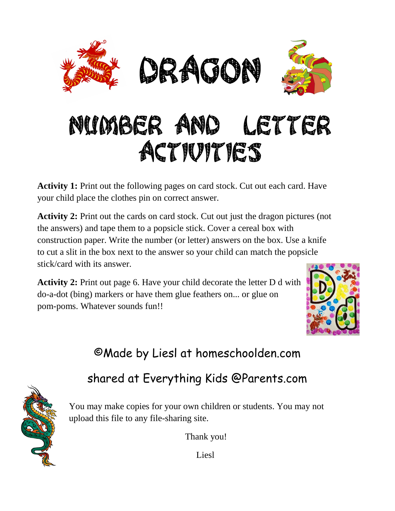

## NUMBER AND LETTER ACTIVITIES

**Activity 1:** Print out the following pages on card stock. Cut out each card. Have your child place the clothes pin on correct answer.

**Activity 2:** Print out the cards on card stock. Cut out just the dragon pictures (not the answers) and tape them to a popsicle stick. Cover a cereal box with construction paper. Write the number (or letter) answers on the box. Use a knife to cut a slit in the box next to the answer so your child can match the popsicle stick/card with its answer.

**Activity 2:** Print out page 6. Have your child decorate the letter D d with do-a-dot (bing) markers or have them glue feathers on... or glue on pom-poms. Whatever sounds fun!!



## ©Made by Liesl at homeschoolden.com

## shared at Everything Kids @Parents.com



You may make copies for your own children or students. You may not upload this file to any file-sharing site.

Thank you!

Liesl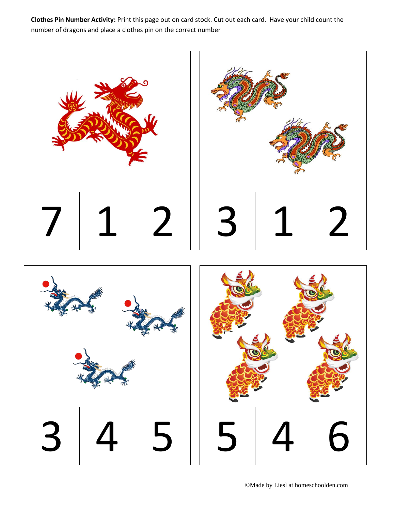**Clothes Pin Number Activity:** Print this page out on card stock. Cut out each card. Have your child count the number of dragons and place a clothes pin on the correct number

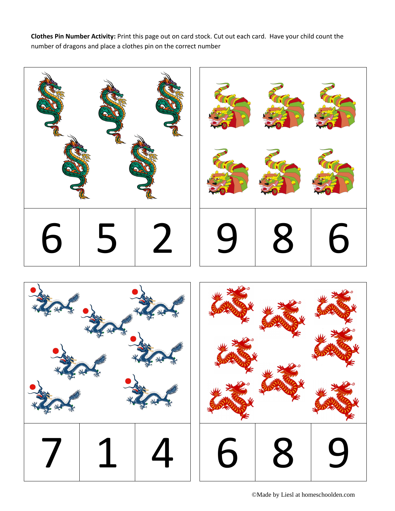**Clothes Pin Number Activity:** Print this page out on card stock. Cut out each card. Have your child count the number of dragons and place a clothes pin on the correct number







©Made by Liesl at homeschoolden.com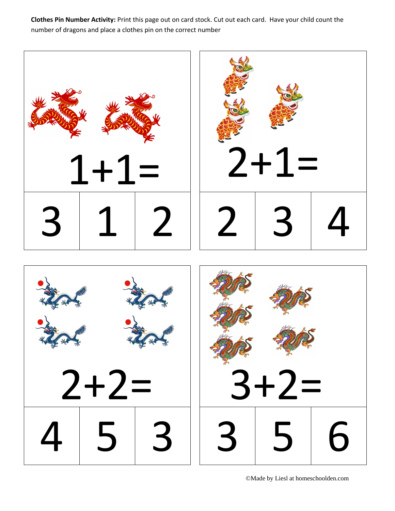**Clothes Pin Number Activity:** Print this page out on card stock. Cut out each card. Have your child count the number of dragons and place a clothes pin on the correct number



©Made by Liesl at homeschoolden.com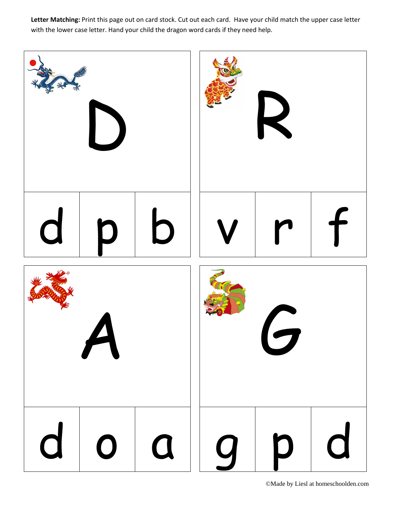**Letter Matching:** Print this page out on card stock. Cut out each card. Have your child match the upper case letter with the lower case letter. Hand your child the dragon word cards if they need help.

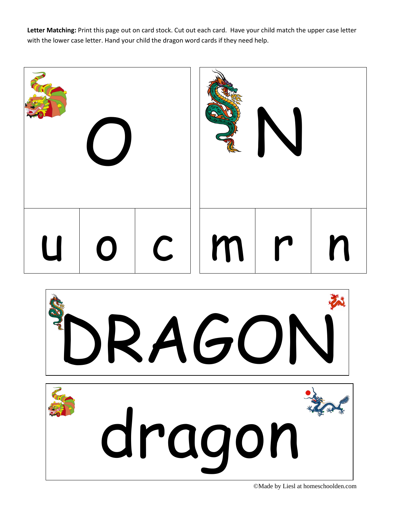**Letter Matching:** Print this page out on card stock. Cut out each card. Have your child match the upper case letter with the lower case letter. Hand your child the dragon word cards if they need help.





©Made by Liesl at homeschoolden.com